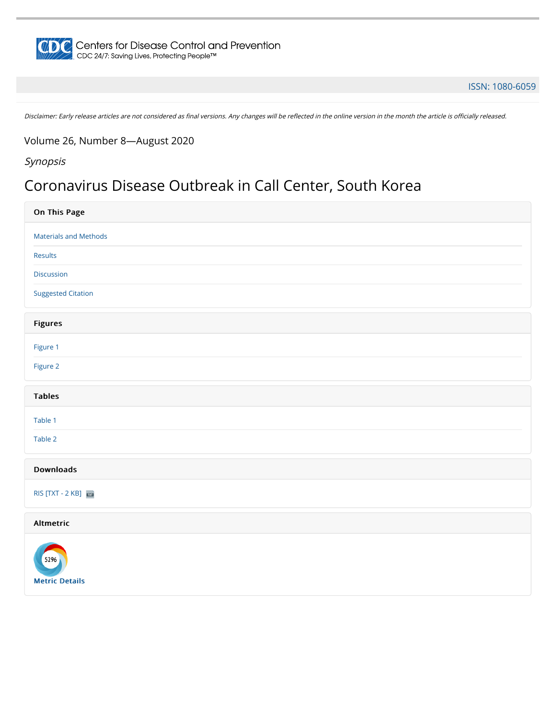

#### [ISSN: 1080-6059](https://wwwnc.cdc.gov/eid/)

Disclaimer: Early release articles are not considered as final versions. Any changes will be reflected in the online version in the month the article is officially released.

Volume 26, Number 8—August 2020

Synopsis

## Coronavirus Disease Outbreak in Call Center, South Korea

| On This Page                  |
|-------------------------------|
| <b>Materials and Methods</b>  |
| Results                       |
| Discussion                    |
| <b>Suggested Citation</b>     |
| <b>Figures</b>                |
| Figure 1                      |
| Figure 2                      |
| <b>Tables</b>                 |
| Table 1                       |
| Table 2                       |
| <b>Downloads</b>              |
| RIS [TXT - 2 KB]              |
| Altmetric                     |
| 5296<br><b>Metric Details</b> |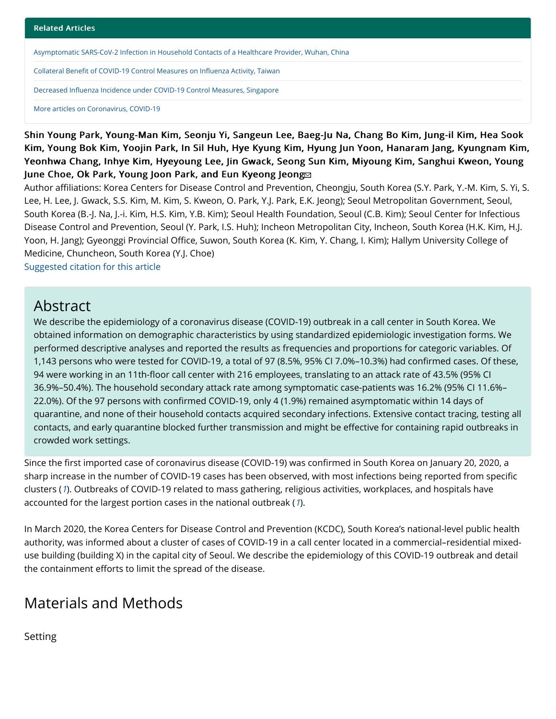[Asymptomatic SARS-CoV-2 Infection in Household Contacts of a Healthcare Provider, Wuhan, China](https://wwwnc.cdc.gov/eid/article/26/8/20-1016_article)

Collateral Benefi[t of COVID-19 Control Measures on In](https://wwwnc.cdc.gov/eid/article/26/8/20-1192_article)fluenza Activity, Taiwan

Decreased Infl[uenza Incidence under COVID-19 Control Measures, Singapore](https://wwwnc.cdc.gov/eid/article/26/8/20-1229_article)

[More articles on Coronavirus, COVID-19](https://wwwnc.cdc.gov/eid/spotlight/coronavirus)

Shin Young Park, Young-Man Kim, Seonju Yi, Sangeun Lee, Baeg-Ju Na, Chang Bo Kim, Jung-il Kim, Hea Sook Kim, Young Bok Kim, Yoojin Park, In Sil Huh, Hye Kyung Kim, Hyung Jun Yoon, Hanaram Jang, Kyungnam Kim, Yeonhwa Chang, Inhye Kim, Hyeyoung Lee, Jin Gwack, Seong Sun Kim, Miyoung Kim, Sanghui Kweon, Young June Choe, Ok Park, Youn[g](#page-5-0) Joon Park, and Eun Kyeong Jeong

Author affiliations: Korea Centers for Disease Control and Prevention, Cheongju, South Korea (S.Y. Park, Y.-M. Kim, S. Yi, S. Lee, H. Lee, J. Gwack, S.S. Kim, M. Kim, S. Kweon, O. Park, Y.J. Park, E.K. Jeong); Seoul Metropolitan Government, Seoul, South Korea (B.-J. Na, J.-i. Kim, H.S. Kim, Y.B. Kim); Seoul Health Foundation, Seoul (C.B. Kim); Seoul Center for Infectious Disease Control and Prevention, Seoul (Y. Park, I.S. Huh); Incheon Metropolitan City, Incheon, South Korea (H.K. Kim, H.J. Yoon, H. Jang); Gyeonggi Provincial Office, Suwon, South Korea (K. Kim, Y. Chang, I. Kim); Hallym University College of Medicine, Chuncheon, South Korea (Y.J. Choe)

[Suggested citation for this article](#page-5-1)

### Abstract

We describe the epidemiology of a coronavirus disease (COVID-19) outbreak in a call center in South Korea. We obtained information on demographic characteristics by using standardized epidemiologic investigation forms. We performed descriptive analyses and reported the results as frequencies and proportions for categoric variables. Of 1,143 persons who were tested for COVID-19, a total of 97 (8.5%, 95% CI 7.0%–10.3%) had confirmed cases. Of these, 94 were working in an 11th-floor call center with 216 employees, translating to an attack rate of 43.5% (95% CI 36.9%–50.4%). The household secondary attack rate among symptomatic case-patients was 16.2% (95% CI 11.6%– 22.0%). Of the 97 persons with confirmed COVID-19, only 4 (1.9%) remained asymptomatic within 14 days of quarantine, and none of their household contacts acquired secondary infections. Extensive contact tracing, testing all contacts, and early quarantine blocked further transmission and might be effective for containing rapid outbreaks in crowded work settings.

Since the first imported case of coronavirus disease (COVID-19) was confirmed in South Korea on January 20, 2020, a sharp increase in the number of COVID-19 cases has been observed, with most infections being reported from specific clusters ([1](#page-4-0)). Outbreaks of COVID-19 related to mass gathering, religious activities, workplaces, and hospitals have accounted for the largest portion cases in the national outbreak ([1](#page-4-0)).

In March 2020, the Korea Centers for Disease Control and Prevention (KCDC), South Korea's national-level public health authority, was informed about a cluster of cases of COVID-19 in a call center located in a commercial–residential mixeduse building (building X) in the capital city of Seoul. We describe the epidemiology of this COVID-19 outbreak and detail the containment efforts to limit the spread of the disease.

## Materials and Methods

Setting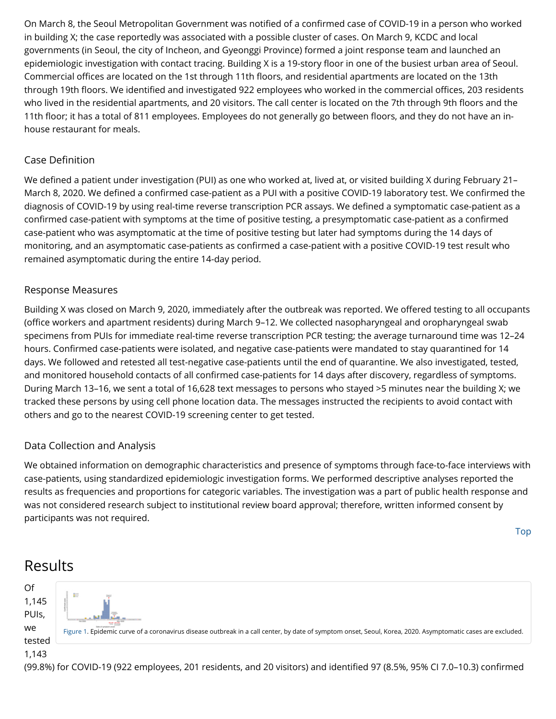On March 8, the Seoul Metropolitan Government was notified of a confirmed case of COVID-19 in a person who worked in building X; the case reportedly was associated with a possible cluster of cases. On March 9, KCDC and local governments (in Seoul, the city of Incheon, and Gyeonggi Province) formed a joint response team and launched an epidemiologic investigation with contact tracing. Building X is a 19-story floor in one of the busiest urban area of Seoul. Commercial offices are located on the 1st through 11th floors, and residential apartments are located on the 13th through 19th floors. We identified and investigated 922 employees who worked in the commercial offices, 203 residents who lived in the residential apartments, and 20 visitors. The call center is located on the 7th through 9th floors and the 11th floor; it has a total of 811 employees. Employees do not generally go between floors, and they do not have an inhouse restaurant for meals.

### Case Definition

We defined a patient under investigation (PUI) as one who worked at, lived at, or visited building X during February 21– March 8, 2020. We defined a confirmed case-patient as a PUI with a positive COVID-19 laboratory test. We confirmed the diagnosis of COVID-19 by using real-time reverse transcription PCR assays. We defined a symptomatic case-patient as a confirmed case-patient with symptoms at the time of positive testing, a presymptomatic case-patient as a confirmed case-patient who was asymptomatic at the time of positive testing but later had symptoms during the 14 days of monitoring, and an asymptomatic case-patients as confirmed a case-patient with a positive COVID-19 test result who remained asymptomatic during the entire 14-day period.

### Response Measures

Building X was closed on March 9, 2020, immediately after the outbreak was reported. We offered testing to all occupants (office workers and apartment residents) during March 9–12. We collected nasopharyngeal and oropharyngeal swab specimens from PUIs for immediate real-time reverse transcription PCR testing; the average turnaround time was 12–24 hours. Confirmed case-patients were isolated, and negative case-patients were mandated to stay quarantined for 14 days. We followed and retested all test-negative case-patients until the end of quarantine. We also investigated, tested, and monitored household contacts of all confirmed case-patients for 14 days after discovery, regardless of symptoms. During March 13–16, we sent a total of 16,628 text messages to persons who stayed >5 minutes near the building X; we tracked these persons by using cell phone location data. The messages instructed the recipients to avoid contact with others and go to the nearest COVID-19 screening center to get tested.

### Data Collection and Analysis

We obtained information on demographic characteristics and presence of symptoms through face-to-face interviews with case-patients, using standardized epidemiologic investigation forms. We performed descriptive analyses reported the results as frequencies and proportions for categoric variables. The investigation was a part of public health response and was not considered research subject to institutional review board approval; therefore, written informed consent by participants was not required.

[Top](javascript:void(0))



<span id="page-2-0"></span>

(99.8%) for COVID-19 (922 employees, 201 residents, and 20 visitors) and identified 97 (8.5%, 95% CI 7.0–10.3) confirmed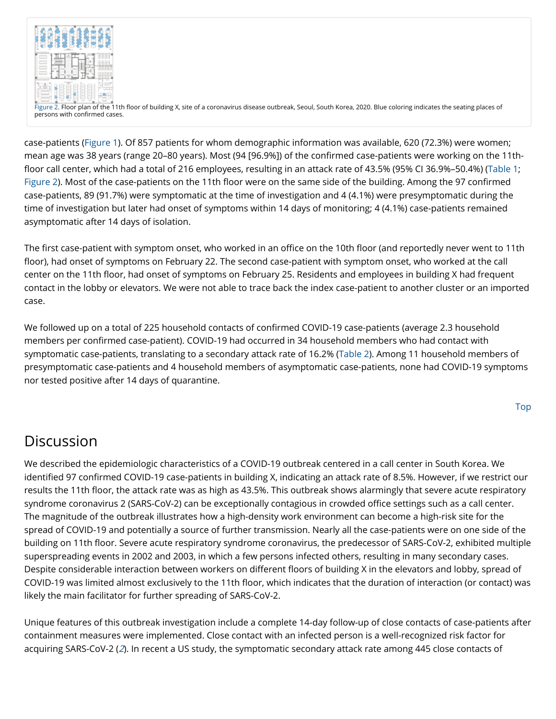<span id="page-3-0"></span>

[Figure 2.](https://wwwnc.cdc.gov/eid/article/26/8/20-1274-f2) Floor plan of the 11th floor of building X, site of a coronavirus disease outbreak, Seoul, South Korea, 2020. Blue coloring indicates the seating places of persons with confirmed cases.

case-patients [\(Figure 1\)](#page-2-0). Of 857 patients for whom demographic information was available, 620 (72.3%) were women; mean age was 38 years (range 20–80 years). Most (94 [96.9%]) of the confirmed case-patients were working on the 11thfloor call center, which had a total of 216 employees, resulting in an attack rate of 43.5% (95% CI 36.9%–50.4%) ([Table 1;](https://wwwnc.cdc.gov/eid/article/26/8/20-1274-t1) [Figure 2\)](#page-3-0). Most of the case-patients on the 11th floor were on the same side of the building. Among the 97 confirmed case-patients, 89 (91.7%) were symptomatic at the time of investigation and 4 (4.1%) were presymptomatic during the time of investigation but later had onset of symptoms within 14 days of monitoring; 4 (4.1%) case-patients remained asymptomatic after 14 days of isolation.

The first case-patient with symptom onset, who worked in an office on the 10th floor (and reportedly never went to 11th floor), had onset of symptoms on February 22. The second case-patient with symptom onset, who worked at the call center on the 11th floor, had onset of symptoms on February 25. Residents and employees in building X had frequent contact in the lobby or elevators. We were not able to trace back the index case-patient to another cluster or an imported case.

We followed up on a total of 225 household contacts of confirmed COVID-19 case-patients (average 2.3 household members per confirmed case-patient). COVID-19 had occurred in 34 household members who had contact with symptomatic case-patients, translating to a secondary attack rate of 16.2% [\(Table 2\)](https://wwwnc.cdc.gov/eid/article/26/8/20-1274-t2). Among 11 household members of presymptomatic case-patients and 4 household members of asymptomatic case-patients, none had COVID-19 symptoms nor tested positive after 14 days of quarantine.

# **Discussion**

We described the epidemiologic characteristics of a COVID-19 outbreak centered in a call center in South Korea. We identified 97 confirmed COVID-19 case-patients in building X, indicating an attack rate of 8.5%. However, if we restrict our results the 11th floor, the attack rate was as high as 43.5%. This outbreak shows alarmingly that severe acute respiratory syndrome coronavirus 2 (SARS-CoV-2) can be exceptionally contagious in crowded office settings such as a call center. The magnitude of the outbreak illustrates how a high-density work environment can become a high-risk site for the spread of COVID-19 and potentially a source of further transmission. Nearly all the case-patients were on one side of the building on 11th floor. Severe acute respiratory syndrome coronavirus, the predecessor of SARS-CoV-2, exhibited multiple superspreading events in 2002 and 2003, in which a few persons infected others, resulting in many secondary cases. Despite considerable interaction between workers on different floors of building X in the elevators and lobby, spread of COVID-19 was limited almost exclusively to the 11th floor, which indicates that the duration of interaction (or contact) was likely the main facilitator for further spreading of SARS-CoV-2.

Unique features of this outbreak investigation include a complete 14-day follow-up of close contacts of case-patients after containment measures were implemented. Close contact with an infected person is a well-recognized risk factor for acquiring SARS-CoV-2 ([2](#page-5-2)). In recent a US study, the symptomatic secondary attack rate among 445 close contacts of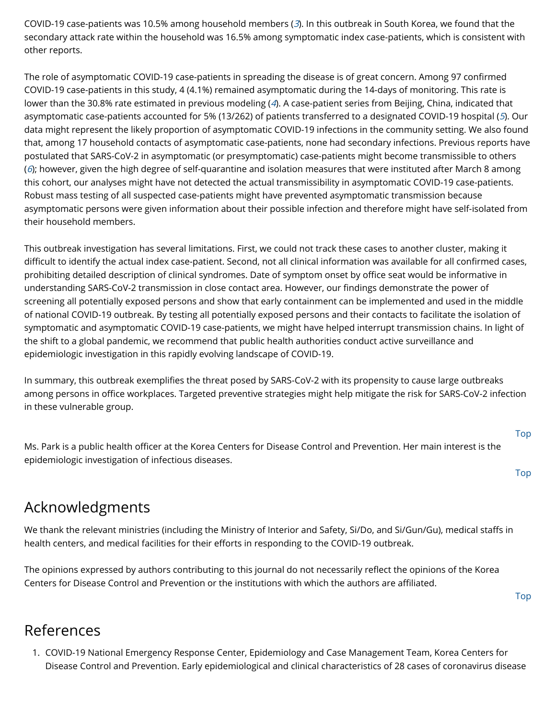COVID-19 case-patients was 10.5% among household members  $(3)$  $(3)$  $(3)$ . In this outbreak in South Korea, we found that the secondary attack rate within the household was 16.5% among symptomatic index case-patients, which is consistent with other reports.

The role of asymptomatic COVID-19 case-patients in spreading the disease is of great concern. Among 97 confirmed COVID-19 case-patients in this study, 4 (4.1%) remained asymptomatic during the 14-days of monitoring. This rate is lower than the 30.8% rate estimated in previous modeling ([4](#page-5-4)). A case-patient series from Beijing, China, indicated that asymptomatic case-patients accounted for 5% (13/262) of patients transferred to a designated COVID-19 hospital ([5](#page-5-5)). Our data might represent the likely proportion of asymptomatic COVID-19 infections in the community setting. We also found that, among 17 household contacts of asymptomatic case-patients, none had secondary infections. Previous reports have postulated that SARS-CoV-2 in asymptomatic (or presymptomatic) case-patients might become transmissible to others ( $6$ ); however, given the high degree of self-quarantine and isolation measures that were instituted after March 8 among this cohort, our analyses might have not detected the actual transmissibility in asymptomatic COVID-19 case-patients. Robust mass testing of all suspected case-patients might have prevented asymptomatic transmission because asymptomatic persons were given information about their possible infection and therefore might have self-isolated from their household members.

This outbreak investigation has several limitations. First, we could not track these cases to another cluster, making it difficult to identify the actual index case-patient. Second, not all clinical information was available for all confirmed cases, prohibiting detailed description of clinical syndromes. Date of symptom onset by office seat would be informative in understanding SARS-CoV-2 transmission in close contact area. However, our findings demonstrate the power of screening all potentially exposed persons and show that early containment can be implemented and used in the middle of national COVID-19 outbreak. By testing all potentially exposed persons and their contacts to facilitate the isolation of symptomatic and asymptomatic COVID-19 case-patients, we might have helped interrupt transmission chains. In light of the shift to a global pandemic, we recommend that public health authorities conduct active surveillance and epidemiologic investigation in this rapidly evolving landscape of COVID-19.

In summary, this outbreak exemplifies the threat posed by SARS-CoV-2 with its propensity to cause large outbreaks among persons in office workplaces. Targeted preventive strategies might help mitigate the risk for SARS-CoV-2 infection in these vulnerable group.

Ms. Park is a public health officer at the Korea Centers for Disease Control and Prevention. Her main interest is the epidemiologic investigation of infectious diseases.

[Top](javascript:void(0))

[Top](javascript:void(0))

# Acknowledgments

We thank the relevant ministries (including the Ministry of Interior and Safety, Si/Do, and Si/Gun/Gu), medical staffs in health centers, and medical facilities for their efforts in responding to the COVID-19 outbreak.

The opinions expressed by authors contributing to this journal do not necessarily reflect the opinions of the Korea Centers for Disease Control and Prevention or the institutions with which the authors are affiliated.

[Top](javascript:void(0))

## References

<span id="page-4-0"></span>1. COVID-19 National Emergency Response Center, Epidemiology and Case Management Team, Korea Centers for Disease Control and Prevention. Early epidemiological and clinical characteristics of 28 cases of coronavirus disease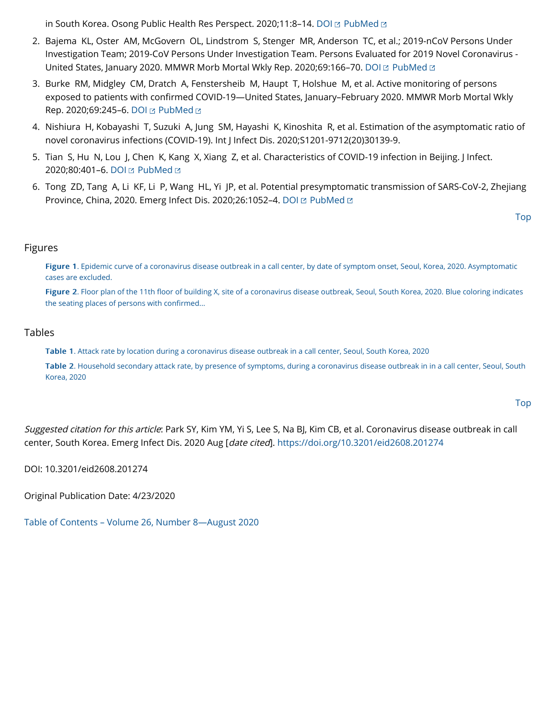in South Korea. Osong Public Health Res Perspect. 2020;11:8-14. [DOI](http://dx.doi.org/10.24171/j.phrp.2020.11.1.03) E [PubMed](http://www.ncbi.nlm.nih.gov/sites/entrez?cmd=Retrieve&db=PubMed&list_uids=32149037&dopt=Abstract) E

- <span id="page-5-2"></span>2. Bajema KL, Oster AM, McGovern OL, Lindstrom S, Stenger MR, Anderson TC, et al.; 2019-nCoV Persons Under Investigation Team; 2019-CoV Persons Under Investigation Team. Persons Evaluated for 2019 Novel Coronavirus - United States, January 2020. MMWR Morb Mortal Wkly Rep. 2020;69:166-70. [DOI](http://dx.doi.org/10.15585/mmwr.mm6906e1) E [PubMed](http://www.ncbi.nlm.nih.gov/sites/entrez?cmd=Retrieve&db=PubMed&list_uids=32053579&dopt=Abstract) E
- <span id="page-5-3"></span>3. Burke RM, Midgley CM, Dratch A, Fenstersheib M, Haupt T, Holshue M, et al. Active monitoring of persons exposed to patients with confirmed COVID-19—United States, January–February 2020. MMWR Morb Mortal Wkly Rep. 2020;69:245-6. [DOI](http://dx.doi.org/10.15585/mmwr.mm6909e1) E [PubMed](http://www.ncbi.nlm.nih.gov/sites/entrez?cmd=Retrieve&db=PubMed&list_uids=32134909&dopt=Abstract) E
- <span id="page-5-4"></span>4. Nishiura H, Kobayashi T, Suzuki A, Jung SM, Hayashi K, Kinoshita R, et al. Estimation of the asymptomatic ratio of novel coronavirus infections (COVID-19). Int J Infect Dis. 2020;S1201-9712(20)30139-9.
- <span id="page-5-5"></span>5. Tian S, Hu N, Lou J, Chen K, Kang X, Xiang Z, et al. Characteristics of COVID-19 infection in Beijing. J Infect. 2020;80:401-6. [DOI](http://dx.doi.org/10.1016/j.jinf.2020.02.018) E [PubMed](http://www.ncbi.nlm.nih.gov/sites/entrez?cmd=Retrieve&db=PubMed&list_uids=32112886&dopt=Abstract) E
- <span id="page-5-6"></span>6. Tong ZD, Tang A, Li KF, Li P, Wang HL, Yi JP, et al. Potential presymptomatic transmission of SARS-CoV-2, Zhejiang Province, China, 2020. Emerg Infect Dis. 2020;26:1052-4. [DOI](http://dx.doi.org/10.3201/eid2605.200198) E [PubMed](http://www.ncbi.nlm.nih.gov/sites/entrez?cmd=Retrieve&db=PubMed&list_uids=32091386&dopt=Abstract) E

```
Top
```
#### Figures

[Figure 1. Epidemic curve of a coronavirus disease outbreak in a call center, by date of symptom onset, Seoul, Korea, 2020. Asymptomatic](https://wwwnc.cdc.gov/eid/article/26/8/20-1274-f1) cases are excluded.

Figure 2. Floor plan of the 11th fl[oor of building X, site of a coronavirus disease outbreak, Seoul, South Korea, 2020. Blue coloring indicates](https://wwwnc.cdc.gov/eid/article/26/8/20-1274-f2) the seating places of persons with confirmed...

#### Tables

[Table 1. Attack rate by location during a coronavirus disease outbreak in a call center, Seoul, South Korea, 2020](https://wwwnc.cdc.gov/eid/article/26/8/20-1274-t1)

[Table 2. Household secondary attack rate, by presence of symptoms, during a coronavirus disease outbreak in in a call center, Seoul, South](https://wwwnc.cdc.gov/eid/article/26/8/20-1274-t2) Korea, 2020

[Top](javascript:void(0))

<span id="page-5-1"></span>Suggested citation for this article: Park SY, Kim YM, Yi S, Lee S, Na BJ, Kim CB, et al. Coronavirus disease outbreak in call center, South Korea. Emerg Infect Dis. 2020 Aug [date cited]. <https://doi.org/10.3201/eid2608.201274>

DOI: 10.3201/eid2608.201274

Original Publication Date: 4/23/2020

<span id="page-5-0"></span>[Table of Contents – Volume 26, Number 8—August 2020](https://wwwnc.cdc.gov/eid/articles/issue/26/8/table-of-contents)